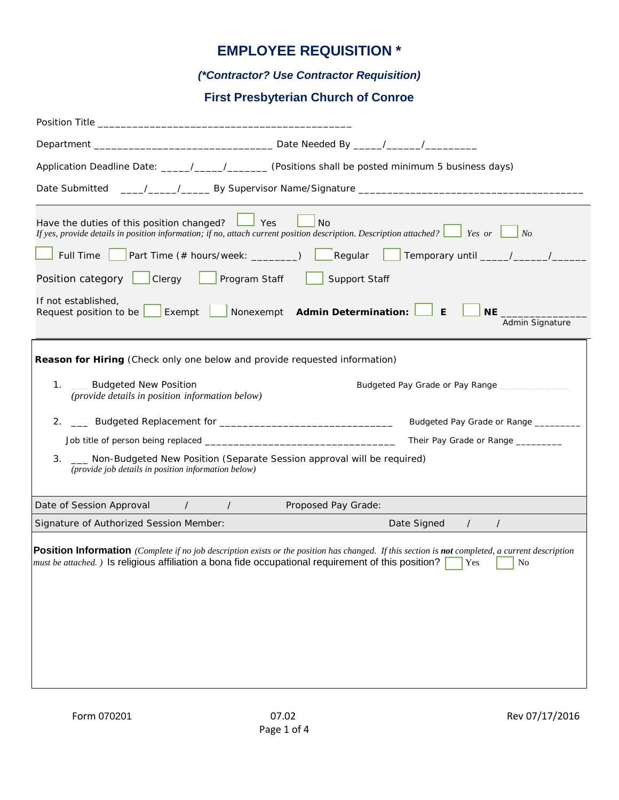# **EMPLOYEE REQUISITION \***

### *(\*Contractor? Use Contractor Requisition)*

## **First Presbyterian Church of Conroe**

| Application Deadline Date: _____/_____/_________ (Positions shall be posted minimum 5 business days)                                                                                                                                                                                       |  |  |  |  |
|--------------------------------------------------------------------------------------------------------------------------------------------------------------------------------------------------------------------------------------------------------------------------------------------|--|--|--|--|
| Date Submitted                                                                                                                                                                                                                                                                             |  |  |  |  |
| Have the duties of this position changed? $\Box$ Yes<br><b>No</b><br>If yes, provide details in position information; if no, attach current position description. Description attached? $\Box$ Yes or $\Box$<br>$\mid$ No                                                                  |  |  |  |  |
| <b>Part Time (# hours/week:</b> ________)<br>Full Time                                                                                                                                                                                                                                     |  |  |  |  |
| Position category   Clergy<br>Program Staff<br>Support Staff                                                                                                                                                                                                                               |  |  |  |  |
| If not established,<br>Nonexempt Admin Determination:<br>E<br>Exempt<br>Request position to be<br>Admin Signature                                                                                                                                                                          |  |  |  |  |
| Reason for Hiring (Check only one below and provide requested information)<br>1. __ Budgeted New Position<br>Budgeted Pay Grade or Pay Range ___________                                                                                                                                   |  |  |  |  |
| (provide details in position information below)                                                                                                                                                                                                                                            |  |  |  |  |
| Let Budgeted Replacement for Let Black and Black and Black and Black and Black and Black and Black and Black<br>2.<br>Budgeted Pay Grade or Range ______                                                                                                                                   |  |  |  |  |
| Their Pay Grade or Range _________                                                                                                                                                                                                                                                         |  |  |  |  |
| 3.<br>Non-Budgeted New Position (Separate Session approval will be required)<br>(provide job details in position information below)                                                                                                                                                        |  |  |  |  |
| Date of Session Approval /<br>$\sqrt{2}$<br>Proposed Pay Grade:                                                                                                                                                                                                                            |  |  |  |  |
| Date Signed /<br>Signature of Authorized Session Member:<br>$\sqrt{2}$                                                                                                                                                                                                                     |  |  |  |  |
| <b>Position Information</b> (Complete if no job description exists or the position has changed. If this section is not completed, a current description<br><i>must be attached.</i> ) Is religious affiliation a bona fide occupational requirement of this position?<br><b>Yes</b><br>No. |  |  |  |  |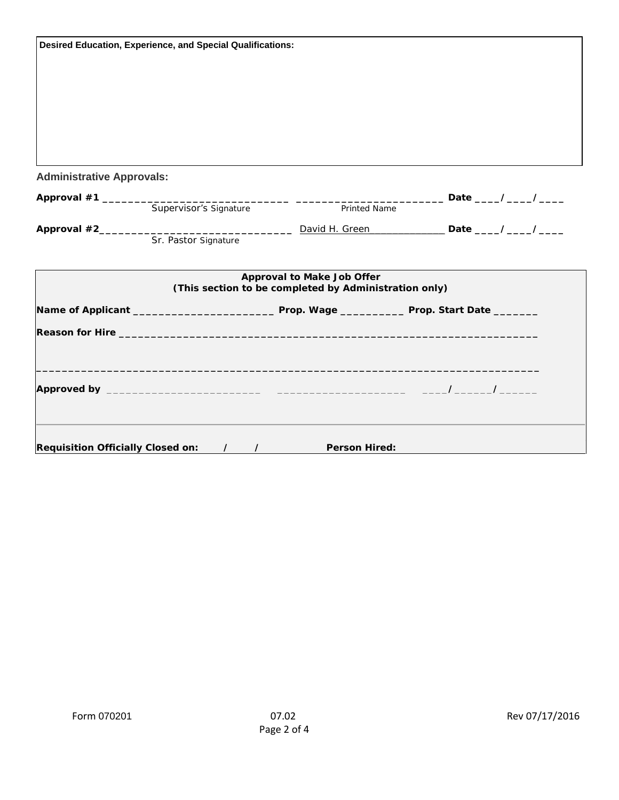| <b>Desired Education, Experience, and Special Qualifications:</b> |                        |                                                                                     |  |  |
|-------------------------------------------------------------------|------------------------|-------------------------------------------------------------------------------------|--|--|
|                                                                   |                        |                                                                                     |  |  |
|                                                                   |                        |                                                                                     |  |  |
|                                                                   |                        |                                                                                     |  |  |
|                                                                   |                        |                                                                                     |  |  |
| <b>Administrative Approvals:</b>                                  |                        |                                                                                     |  |  |
|                                                                   |                        |                                                                                     |  |  |
|                                                                   | Supervisor's Signature | Printed Name                                                                        |  |  |
|                                                                   |                        |                                                                                     |  |  |
|                                                                   | Sr. Pastor Signature   |                                                                                     |  |  |
|                                                                   |                        | Approval to Make Job Offer<br>(This section to be completed by Administration only) |  |  |
|                                                                   |                        |                                                                                     |  |  |
|                                                                   |                        |                                                                                     |  |  |
|                                                                   |                        |                                                                                     |  |  |
|                                                                   |                        |                                                                                     |  |  |
|                                                                   |                        |                                                                                     |  |  |
|                                                                   |                        |                                                                                     |  |  |
| <b>Requisition Officially Closed on:</b>                          | $\prime$ $\prime$      | <b>Person Hired:</b>                                                                |  |  |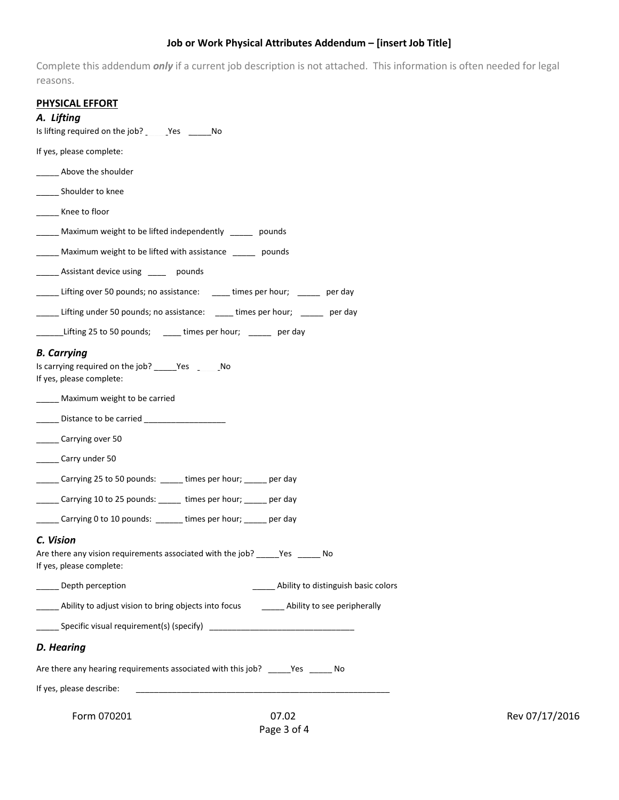#### **Job or Work Physical Attributes Addendum – [insert Job Title]**

Complete this addendum *only* if a current job description is not attached. This information is often needed for legal reasons.

|--|

#### *A. Lifting*

| Is lifting required on the job? Yes No                                                                                 |
|------------------------------------------------------------------------------------------------------------------------|
| If yes, please complete:                                                                                               |
| Above the shoulder                                                                                                     |
| _______ Shoulder to knee                                                                                               |
| ______ Knee to floor                                                                                                   |
| Maximum weight to be lifted independently _____ pounds                                                                 |
| Maximum weight to be lifted with assistance ______ pounds                                                              |
| ______ Assistant device using _____ pounds                                                                             |
| Lifting over 50 pounds; no assistance: Lacktures per hour; Lacktranay per day                                          |
| Lifting under 50 pounds; no assistance: _____ times per hour; ______ per day                                           |
| Lifting 25 to 50 pounds; _____ times per hour; ______ per day                                                          |
| <b>B.</b> Carrying<br>Is carrying required on the job? _______ Yes ________ No<br>If yes, please complete:             |
| Maximum weight to be carried                                                                                           |
|                                                                                                                        |
| ______ Carrying over 50                                                                                                |
| _______ Carry under 50                                                                                                 |
| ______ Carrying 25 to 50 pounds: ______ times per hour; ______ per day                                                 |
| _____ Carrying 10 to 25 pounds: _____ times per hour; _____ per day                                                    |
| Carrying 0 to 10 pounds: ______ times per hour; _____ per day                                                          |
| C. Vision<br>Are there any vision requirements associated with the job? _____Yes ______ No<br>If yes, please complete: |
| Depth perception<br>Ability to distinguish basic colors                                                                |
| Ability to adjust vision to bring objects into focus _________ Ability to see peripherally                             |
| _______ Specific visual requirement(s) (specify) _______________________________                                       |
| D. Hearing                                                                                                             |
| Are there any hearing requirements associated with this job? _____ Yes ______ No                                       |
| If yes, please describe:                                                                                               |
| Form 070201<br>07.02                                                                                                   |